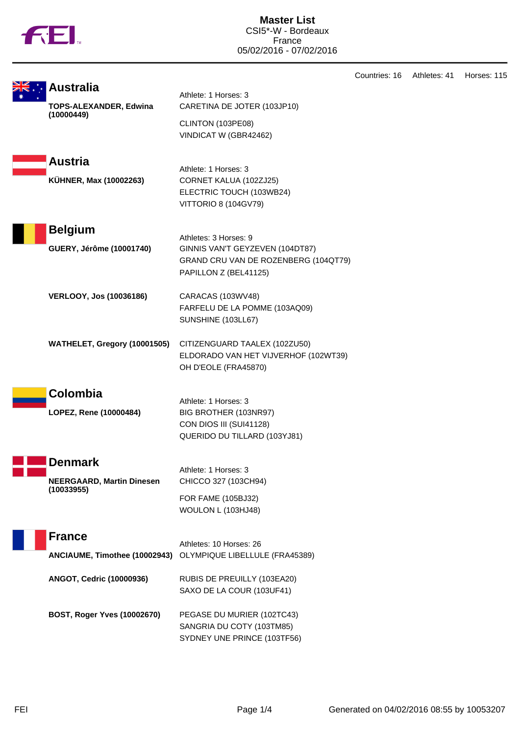|  |  | N |
|--|--|---|
|  |  |   |

|                                            |                                                                                                                           | Countries: 16 | Athletes: 41 | Horses: 115 |
|--------------------------------------------|---------------------------------------------------------------------------------------------------------------------------|---------------|--------------|-------------|
| Australia<br>TOPS-ALEXANDER, Edwina        | Athlete: 1 Horses: 3<br>CARETINA DE JOTER (103JP10)                                                                       |               |              |             |
| (10000449)                                 | CLINTON (103PE08)<br>VINDICAT W (GBR42462)                                                                                |               |              |             |
| <b>Austria</b><br>KÜHNER, Max (10002263)   | Athlete: 1 Horses: 3<br>CORNET KALUA (102ZJ25)<br>ELECTRIC TOUCH (103WB24)<br>VITTORIO 8 (104GV79)                        |               |              |             |
| <b>Belgium</b><br>GUERY, Jérôme (10001740) | Athletes: 3 Horses: 9<br>GINNIS VAN'T GEYZEVEN (104DT87)<br>GRAND CRU VAN DE ROZENBERG (104QT79)<br>PAPILLON Z (BEL41125) |               |              |             |
| <b>VERLOOY, Jos (10036186)</b>             | CARACAS (103WV48)<br>FARFELU DE LA POMME (103AQ09)<br>SUNSHINE (103LL67)                                                  |               |              |             |
| WATHELET, Gregory (10001505)               | CITIZENGUARD TAALEX (102ZU50)<br>ELDORADO VAN HET VIJVERHOF (102WT39)<br>OH D'EOLE (FRA45870)                             |               |              |             |
| Colombia                                   |                                                                                                                           |               |              |             |
| LOPEZ, Rene (10000484)                     | Athlete: 1 Horses: 3<br>BIG BROTHER (103NR97)<br>CON DIOS III (SUI41128)<br>QUERIDO DU TILLARD (103YJ81)                  |               |              |             |
| <b>Denmark</b>                             | Athlete: 1 Horses: 3                                                                                                      |               |              |             |
| <b>NEERGAARD, Martin Dinesen</b>           | CHICCO 327 (103CH94)                                                                                                      |               |              |             |
| (10033955)                                 | FOR FAME (105BJ32)<br>WOULON L (103HJ48)                                                                                  |               |              |             |
| <b>France</b>                              | Athletes: 10 Horses: 26                                                                                                   |               |              |             |
| ANCIAUME, Timothee (10002943)              | OLYMPIQUE LIBELLULE (FRA45389)                                                                                            |               |              |             |
| ANGOT, Cedric (10000936)                   | RUBIS DE PREUILLY (103EA20)<br>SAXO DE LA COUR (103UF41)                                                                  |               |              |             |
| BOST, Roger Yves (10002670)                | PEGASE DU MURIER (102TC43)<br>SANGRIA DU COTY (103TM85)                                                                   |               |              |             |

SYDNEY UNE PRINCE (103TF56)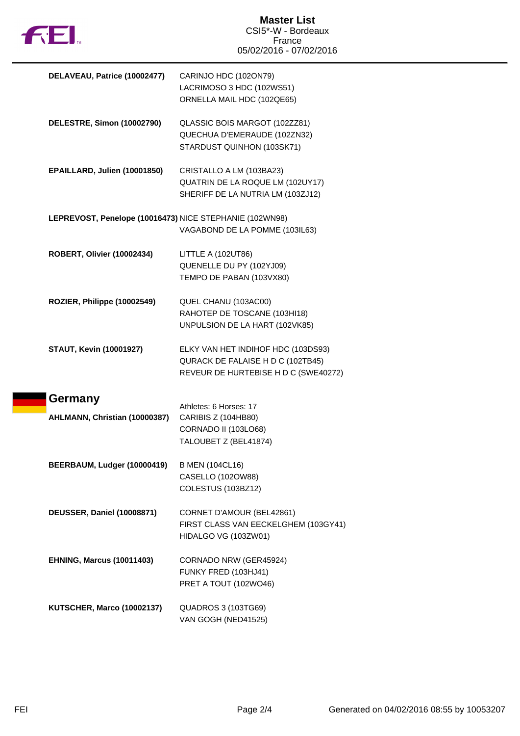

| DELAVEAU, Patrice (10002477)                            | CARINJO HDC (102ON79)<br>LACRIMOSO 3 HDC (102WS51)<br>ORNELLA MAIL HDC (102QE65)                                |
|---------------------------------------------------------|-----------------------------------------------------------------------------------------------------------------|
| DELESTRE, Simon (10002790)                              | QLASSIC BOIS MARGOT (102ZZ81)<br>QUECHUA D'EMERAUDE (102ZN32)<br>STARDUST QUINHON (103SK71)                     |
| EPAILLARD, Julien (10001850)                            | CRISTALLO A LM (103BA23)<br>QUATRIN DE LA ROQUE LM (102UY17)<br>SHERIFF DE LA NUTRIA LM (103ZJ12)               |
| LEPREVOST, Penelope (10016473) NICE STEPHANIE (102WN98) | VAGABOND DE LA POMME (103IL63)                                                                                  |
| ROBERT, Olivier (10002434)                              | LITTLE A (102UT86)<br>QUENELLE DU PY (102YJ09)<br>TEMPO DE PABAN (103VX80)                                      |
| ROZIER, Philippe (10002549)                             | QUEL CHANU (103AC00)<br>RAHOTEP DE TOSCANE (103HI18)<br>UNPULSION DE LA HART (102VK85)                          |
| <b>STAUT, Kevin (10001927)</b>                          | ELKY VAN HET INDIHOF HDC (103DS93)<br>QURACK DE FALAISE H D C (102TB45)<br>REVEUR DE HURTEBISE H D C (SWE40272) |
| Germany<br>AHLMANN, Christian (10000387)                | Athletes: 6 Horses: 17<br>CARIBIS Z (104HB80)<br><b>CORNADO II (103LO68)</b><br>TALOUBET Z (BEL41874)           |
| BEERBAUM, Ludger (10000419)                             | <b>B MEN (104CL16)</b><br>CASELLO (102OW88)<br>COLESTUS (103BZ12)                                               |
| <b>DEUSSER, Daniel (10008871)</b>                       | CORNET D'AMOUR (BEL42861)<br>FIRST CLASS VAN EECKELGHEM (103GY41)<br>HIDALGO VG (103ZW01)                       |
| <b>EHNING, Marcus (10011403)</b>                        | CORNADO NRW (GER45924)<br>FUNKY FRED (103HJ41)<br>PRET A TOUT (102WO46)                                         |
| <b>KUTSCHER, Marco (10002137)</b>                       | <b>QUADROS 3 (103TG69)</b><br>VAN GOGH (NED41525)                                                               |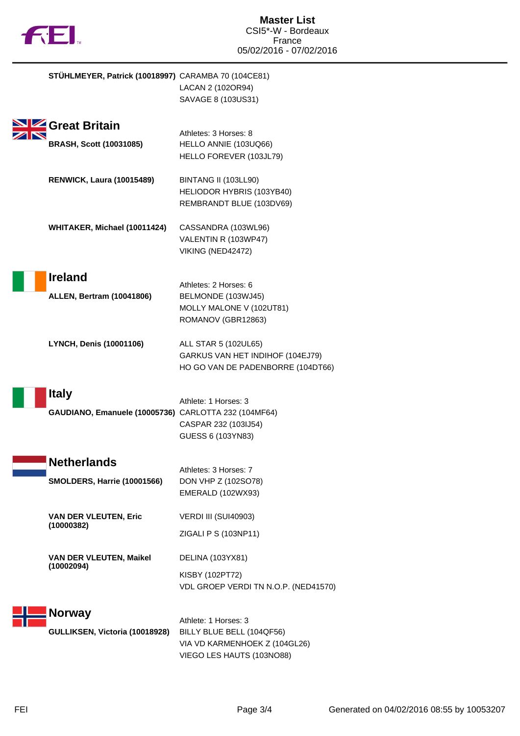

| STÜHLMEYER, Patrick (10018997) CARAMBA 70 (104CE81)                  | LACAN 2 (102OR94)<br>SAVAGE 8 (103US31)                                                                         |
|----------------------------------------------------------------------|-----------------------------------------------------------------------------------------------------------------|
| Great Britain<br><b>BRASH, Scott (10031085)</b>                      | Athletes: 3 Horses: 8<br>HELLO ANNIE (103UQ66)<br>HELLO FOREVER (103JL79)                                       |
| <b>RENWICK, Laura (10015489)</b>                                     | BINTANG II (103LL90)<br>HELIODOR HYBRIS (103YB40)<br>REMBRANDT BLUE (103DV69)                                   |
| WHITAKER, Michael (10011424)                                         | CASSANDRA (103WL96)<br>VALENTIN R (103WP47)<br>VIKING (NED42472)                                                |
| <b>Ireland</b><br><b>ALLEN, Bertram (10041806)</b>                   | Athletes: 2 Horses: 6<br>BELMONDE (103WJ45)<br>MOLLY MALONE V (102UT81)<br>ROMANOV (GBR12863)                   |
| <b>LYNCH, Denis (10001106)</b>                                       | ALL STAR 5 (102UL65)<br>GARKUS VAN HET INDIHOF (104EJ79)<br>HO GO VAN DE PADENBORRE (104DT66)                   |
| <b>Italy</b><br>GAUDIANO, Emanuele (10005736) CARLOTTA 232 (104MF64) | Athlete: 1 Horses: 3<br>CASPAR 232 (103IJ54)<br>GUESS 6 (103YN83)                                               |
| <b>Netherlands</b><br><b>SMOLDERS, Harrie (10001566)</b>             | Athletes: 3 Horses: 7<br>DON VHP Z (102SO78)<br>EMERALD (102WX93)                                               |
| <b>VAN DER VLEUTEN, Eric</b><br>(10000382)                           | VERDI III (SUI40903)<br>ZIGALI P S (103NP11)                                                                    |
| <b>VAN DER VLEUTEN, Maikel</b><br>(10002094)                         | DELINA (103YX81)<br>KISBY (102PT72)<br>VDL GROEP VERDI TN N.O.P. (NED41570)                                     |
| <b>Norway</b><br>GULLIKSEN, Victoria (10018928)                      | Athlete: 1 Horses: 3<br>BILLY BLUE BELL (104QF56)<br>VIA VD KARMENHOEK Z (104GL26)<br>VIEGO LES HAUTS (103NO88) |